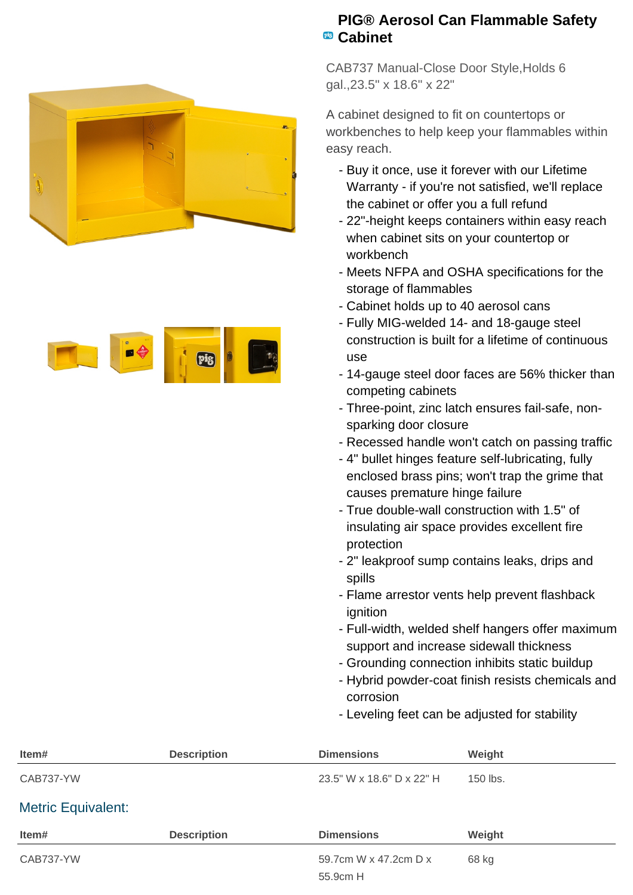



## **PIG® Aerosol Can Flammable Safety Cabinet**

CAB737 Manual-Close Door Style,Holds 6 gal.,23.5" x 18.6" x 22"

A cabinet designed to fit on countertops or workbenches to help keep your flammables within easy reach.

- Buy it once, use it forever with our Lifetime Warranty - if you're not satisfied, we'll replace the cabinet or offer you a full refund
- 22"-height keeps containers within easy reach when cabinet sits on your countertop or workbench
- Meets NFPA and OSHA specifications for the storage of flammables
- Cabinet holds up to 40 aerosol cans
- Fully MIG-welded 14- and 18-gauge steel construction is built for a lifetime of continuous use
- 14-gauge steel door faces are 56% thicker than competing cabinets
- Three-point, zinc latch ensures fail-safe, non- sparking door closure
- Recessed handle won't catch on passing traffic
- 4" bullet hinges feature self-lubricating, fully enclosed brass pins; won't trap the grime that causes premature hinge failure
- True double-wall construction with 1.5" of insulating air space provides excellent fire protection
- 2" leakproof sump contains leaks, drips and spills
- Flame arrestor vents help prevent flashback ignition
- Full-width, welded shelf hangers offer maximum support and increase sidewall thickness
- Grounding connection inhibits static buildup
- Hybrid powder-coat finish resists chemicals and corrosion
- Leveling feet can be adjusted for stability

| Item#                     | <b>Description</b> | <b>Dimensions</b>         | Weight   |  |
|---------------------------|--------------------|---------------------------|----------|--|
| CAB737-YW                 |                    | 23.5" W x 18.6" D x 22" H | 150 lbs. |  |
| <b>Metric Equivalent:</b> |                    |                           |          |  |
| Item#                     | <b>Description</b> | <b>Dimensions</b>         | Weight   |  |
| CAB737-YW                 |                    | 59.7cm W x 47.2cm D x     | 68 kg    |  |
|                           |                    | 55.9cm H                  |          |  |